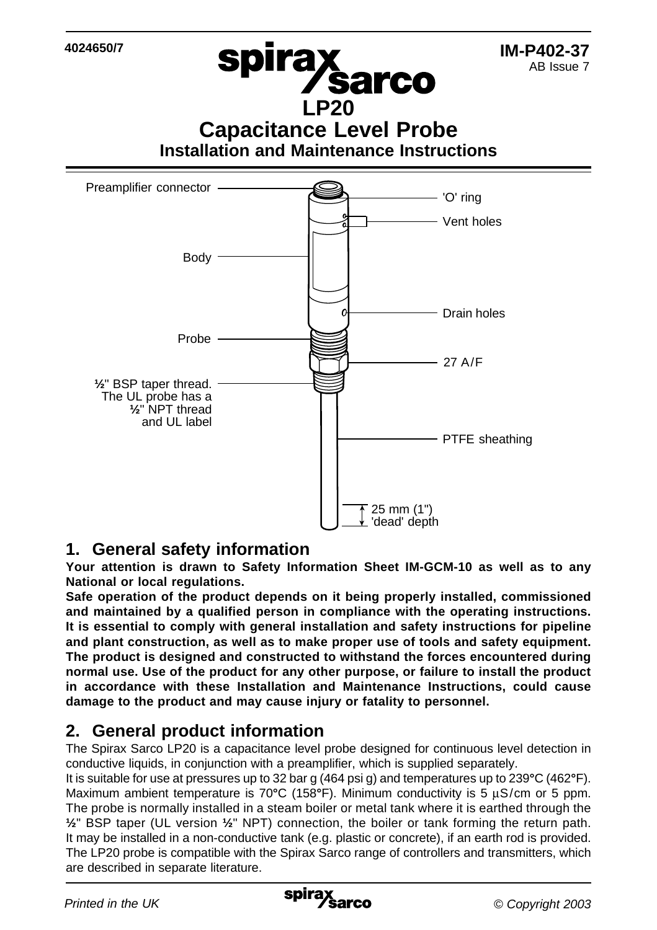**spirax<br>LP20 Capacitance Level Probe Installation and Maintenance Instructions IM-P402-37** AB Issue 7 **4024650/7** Preamplifier connector 'O' ring Vent holes



### **1. General safety information**

**Your attention is drawn to Safety Information Sheet IM-GCM-10 as well as to any National or local regulations.**

**Safe operation of the product depends on it being properly installed, commissioned and maintained by a qualified person in compliance with the operating instructions. It is essential to comply with general installation and safety instructions for pipeline and plant construction, as well as to make proper use of tools and safety equipment. The product is designed and constructed to withstand the forces encountered during normal use. Use of the product for any other purpose, or failure to install the product in accordance with these Installation and Maintenance Instructions, could cause damage to the product and may cause injury or fatality to personnel.**

# **2. General product information**

The Spirax Sarco LP20 is a capacitance level probe designed for continuous level detection in conductive liquids, in conjunction with a preamplifier, which is supplied separately.

It is suitable for use at pressures up to 32 bar g (464 psi g) and temperatures up to 239**°**C (462**°**F). Maximum ambient temperature is 70°C (158°F). Minimum conductivity is 5 uS/cm or 5 ppm. The probe is normally installed in a steam boiler or metal tank where it is earthed through the **½**" BSP taper (UL version **½**" NPT) connection, the boiler or tank forming the return path. It may be installed in a non-conductive tank (e.g. plastic or concrete), if an earth rod is provided. The LP20 probe is compatible with the Spirax Sarco range of controllers and transmitters, which are described in separate literature.